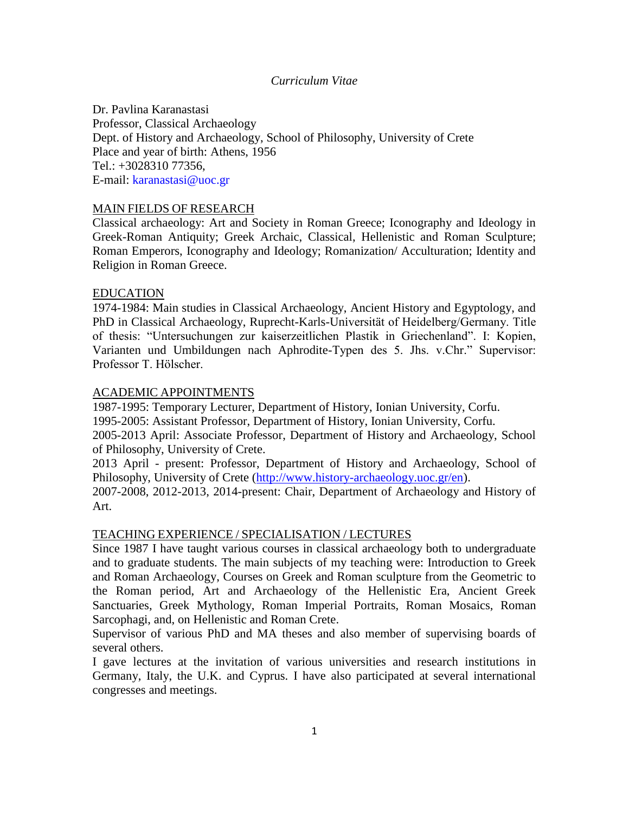## *Curriculum Vitae*

Dr. Pavlina Karanastasi Professor, Classical Archaeology Dept. of History and Archaeology, School of Philosophy, University of Crete Place and year of birth: Athens, 1956 Tel.: +3028310 77356, E-mail: [karanastasi@uoc.gr](mailto:karanastasi@uoc.gr)

### MAIN FIELDS OF RESEARCH

Classical archaeology: Art and Society in Roman Greece; Iconography and Ideology in Greek-Roman Antiquity; Greek Archaic, Classical, Hellenistic and Roman Sculpture; Roman Emperors, Iconography and Ideology; Romanization/ Acculturation; Identity and Religion in Roman Greece.

### EDUCATION

1974-1984: Main studies in Classical Archaeology, Ancient History and Egyptology, and PhD in Classical Archaeology, Ruprecht-Karls-Universität of Heidelberg/Germany. Title of thesis: "Untersuchungen zur kaiserzeitlichen Plastik in Griechenland". I: Kopien, Varianten und Umbildungen nach Aphrodite-Typen des 5. Jhs. v.Chr." Supervisor: Professor T. Hölscher.

### ACADEMIC APPOINTMENTS

1987-1995: Temporary Lecturer, Department of History, Ionian University, Corfu.

1995-2005: Assistant Professor, Department of History, Ionian University, Corfu.

2005-2013 April: Associate Professor, Department of History and Archaeology, School of Philosophy, University of Crete.

2013 April - present: Professor, Department of History and Archaeology, School of Philosophy, University of Crete [\(http://www.history-archaeology.uoc.gr/en\)](http://www.history-archaeology.uoc.gr/en).

2007-2008, 2012-2013, 2014-present: Chair, Department of Archaeology and History of Art.

## TEACHING EXPERIENCE / SPECIALISATION / LECTURES

Since 1987 I have taught various courses in classical archaeology both to undergraduate and to graduate students. The main subjects of my teaching were: Introduction to Greek and Roman Archaeology, Courses on Greek and Roman sculpture from the Geometric to the Roman period, Art and Archaeology of the Hellenistic Era, Ancient Greek Sanctuaries, Greek Mythology, Roman Imperial Portraits, Roman Mosaics, Roman Sarcophagi, and, on Hellenistic and Roman Crete.

Supervisor of various PhD and MA theses and also member of supervising boards of several others.

I gave lectures at the invitation of various universities and research institutions in Germany, Italy, the U.K. and Cyprus. I have also participated at several international congresses and meetings.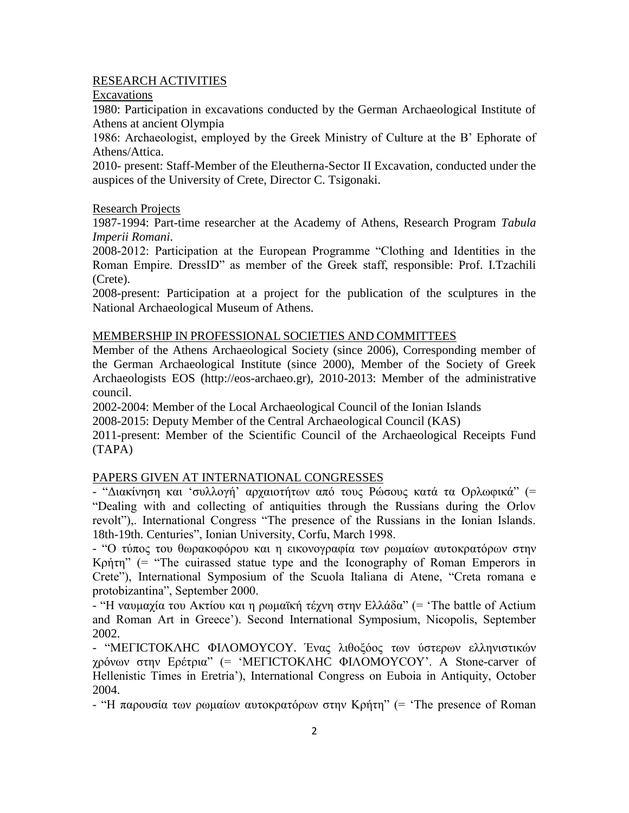# RESEARCH ACTIVITIES

Excavations

1980: Participation in excavations conducted by the German Archaeological Institute of Athens at ancient Olympia

1986: Archaeologist, employed by the Greek Ministry of Culture at the B' Ephorate of Athens/Attica.

2010- present: Staff-Member of the Eleutherna-Sector II Excavation, conducted under the auspices of the University of Crete, Director C. Tsigonaki.

# Research Projects

1987-1994: Part-time researcher at the Academy of Athens, Research Program *Tabula Imperii Romani*.

2008-2012: Participation at the European Programme "Clothing and Identities in the Roman Empire. DressID" as member of the Greek staff, responsible: Prof. I.Tzachili (Crete).

2008-present: Participation at a project for the publication of the sculptures in the National Archaeological Museum of Athens.

# MEMBERSHIP IN PROFESSIONAL SOCIETIES AND COMMITTEES

Member of the Athens Archaeological Society (since 2006), Corresponding member of the German Archaeological Institute (since 2000), Member of the Society of Greek Αrchaeologists EOS (http://eos-archaeo.gr), 2010-2013: Member of the administrative council.

2002-2004: Member of the Local Archaeological Council of the Ionian Islands

2008-2015: Deputy Member of the Central Archaeological Council (KAS)

2011-present: Member of the Scientific Council of the Archaeological Receipts Fund (TAPA)

# PAPERS GIVEN AT INTERNATIONAL CONGRESSES

- "Διακίνηση και 'συλλογή' αρχαιοτήτων από τους Pώσους κατά τα Ορλωφικά" (= "Dealing with and collecting of antiquities through the Russians during the Orlov revolt"),. International Congress "The presence of the Russians in the Ionian Islands. 18th-19th. Centuries", Ionian University, Corfu, March 1998.

- "O τύπος του θωρακοφόρου και η εικονογραφία των ρωμαίων αυτοκρατόρων στην Kρήτη" (= "The cuirassed statue type and the Iconography of Roman Emperors in Crete"), International Symposium of the Scuola Italiana di Atene, "Creta romana e protobizantina", September 2000.

- "Η ναυμαχία του Ακτίου και η ρωμαϊκή τέχνη στην Ελλάδα" (= 'The battle of Actium and Roman Art in Greece'). Second International Symposium, Nicopolis, September 2002.

- "MEΓICTOKΛHC ΦIΛOMOYCOY. Ένας λιθοξόος των ύστερων ελληνιστικών χρόνων στην Ερέτρια" (= 'MEΓICTOKΛHC ΦIΛOMOYCOY'. A Stone-carver of Hellenistic Times in Eretria'), International Congress on Euboia in Antiquity, October 2004.

- "Η παρουσία των ρωμαίων αυτοκρατόρων στην Κρήτη" (= 'The presence of Roman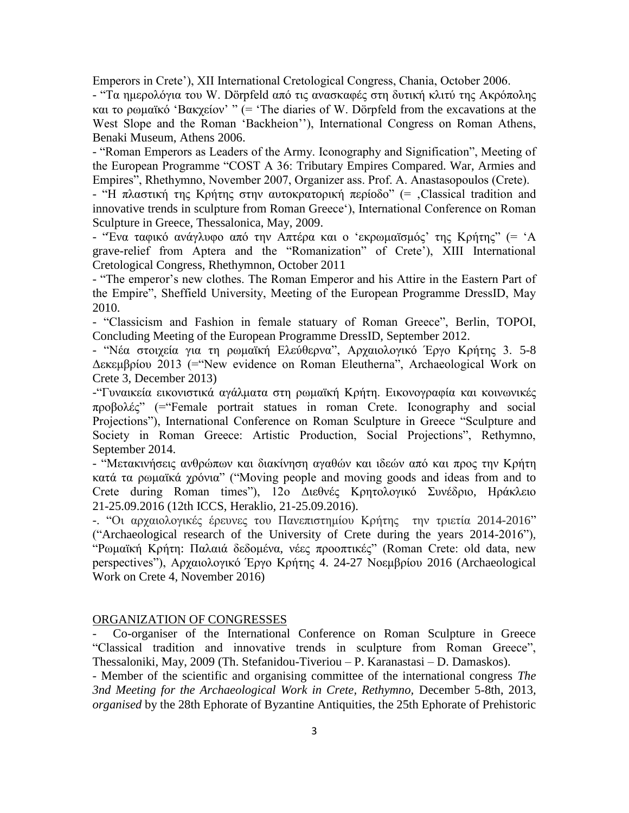Emperors in Crete'), XII International Cretological Congress, Chania, October 2006.

- "Τα ημερολόγια του W. Dörpfeld από τις ανασκαφές στη δυτική κλιτύ της Ακρόπολης και το ρωμαϊκό 'Βακχείον' " (= 'The diaries of W. Dörpfeld from the excavations at the West Slope and the Roman 'Backheion''), International Congress on Roman Athens, Benaki Museum, Athens 2006.

- "Roman Emperors as Leaders of the Army. Iconography and Signification", Meeting of the European Programme "COST A 36: Tributary Empires Compared. War, Armies and Empires", Rhethymno, November 2007, Organizer ass. Prof. A. Anastasopoulos (Crete).

- "Η πλαστική της Κρήτης στην αυτοκρατορική περίοδο" (= .Classical tradition and innovative trends in sculpture from Roman Greece'), International Conference on Roman Sculpture in Greece, Thessalonica, May, 2009.

- "Ένα ταφικό ανάγλυφο από την Απτέρα και ο 'εκρωμαϊσμός' της Κρήτης" (= 'A grave-relief from Aptera and the "Romanization" of Crete'), XIII International Cretological Congress, Rhethymnon, October 2011

- "The emperor's new clothes. The Roman Emperor and his Attire in the Eastern Part of the Empire", Sheffield University, Meeting of the European Programme DressID, May 2010.

- "Classicism and Fashion in female statuary of Roman Greece", Berlin, TOPOI, Concluding Meeting of the European Programme DressID, September 2012.

- "Νέα στοιχεία για τη ρωμαϊκή Ελεύθερνα", Αρχαιολογικό Έργο Κρήτης 3. 5-8 Δεκεμβρίου 2013 (="New evidence on Roman Eleutherna", Archaeological Work on Crete 3, December 2013)

-"Γυναικεία εικονιστικά αγάλματα στη ρωμαϊκή Κρήτη. Εικονογραφία και κοινωνικές προβολές" (="Female portrait statues in roman Crete. Iconography and social Projections"), International Conference on Roman Sculpture in Greece "Sculpture and Society in Roman Greece: Artistic Production, Social Projections", Rethymno, September 2014.

- "Μετακινήσεις ανθρώπων και διακίνηση αγαθών και ιδεών από και προς την Κρήτη κατά τα ρωμαϊκά χρόνια" ("Moving people and moving goods and ideas from and to Crete during Roman times"), 12ο Διεθνές Κρητολογικό Συνέδριο, Ηράκλειο 21-25.09.2016 (12th ICCS, Heraklio, 21-25.09.2016).

-. "Οι αρχαιολογικές έρευνες του Πανεπιστημίου Κρήτης την τριετία 2014-2016" ("Archaeological research of the University of Crete during the years 2014-2016"), "Ρωμαϊκή Κρήτη: Παλαιά δεδομένα, νέες προοπτικές" (Roman Crete: old data, new perspectives"), Αρχαιολογικό Έργο Κρήτης 4. 24-27 Νοεμβρίου 2016 (Archaeological Work on Crete 4, November 2016)

## ORGANIZATION OF CONGRESSES

- Co-organiser of the International Conference on Roman Sculpture in Greece "Classical tradition and innovative trends in sculpture from Roman Greece", Thessaloniki, May, 2009 (Th. Stefanidou-Tiveriou – P. Karanastasi – D. Damaskos).

- Member of the scientific and organising committee of the international congress *The 3nd Meeting for the Archaeological Work in Crete, Rethymno,* December 5‐8th, 2013*, organised* by the 28th Ephorate of Byzantine Antiquities, the 25th Ephorate of Prehistoric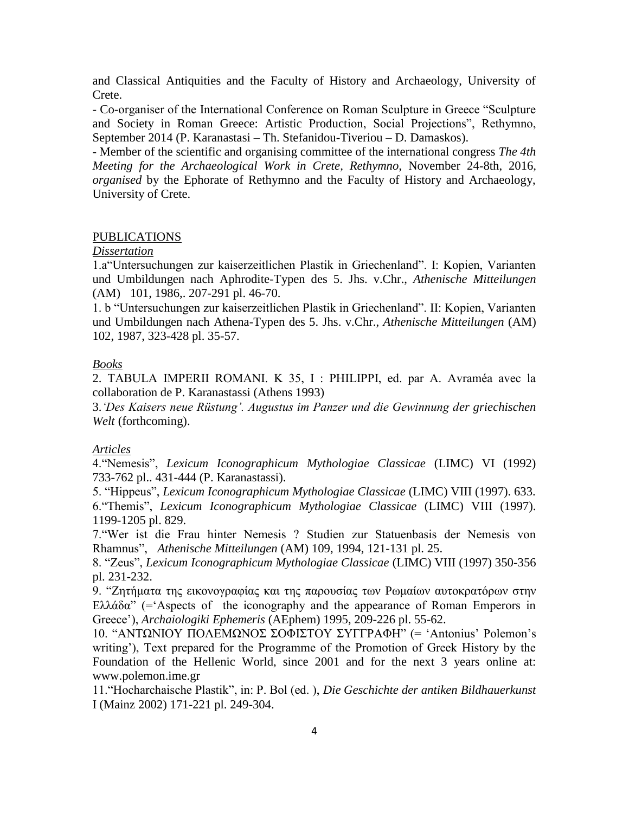and Classical Antiquities and the Faculty of History and Archaeology, University of Crete.

- Co-organiser of the International Conference on Roman Sculpture in Greece "Sculpture and Society in Roman Greece: Artistic Production, Social Projections", Rethymno, September 2014 (P. Karanastasi – Th. Stefanidou-Tiveriou – D. Damaskos).

- Member of the scientific and organising committee of the international congress *The 4th Meeting for the Archaeological Work in Crete, Rethymno,* November 24‐8th, 2016*, organised* by the Ephorate of Rethymno and the Faculty of History and Archaeology, University of Crete.

#### PUBLICATIONS

#### *Dissertation*

1.a"Untersuchungen zur kaiserzeitlichen Plastik in Griechenland". I: Kopien, Varianten und Umbildungen nach Aphrodite-Typen des 5. Jhs. v.Chr., *Athenische Mitteilungen*  (AM) 101, 1986,. 207-291 pl. 46-70.

1. b "Untersuchungen zur kaiserzeitlichen Plastik in Griechenland". II: Kopien, Varianten und Umbildungen nach Athena-Typen des 5. Jhs. v.Chr., *Athenische Mitteilungen* (AM) 102, 1987, 323-428 pl. 35-57.

#### *Books*

2. TABULA IMPERII ROMANI. K 35, I : PHILIPPI, ed. par A. Avraméa avec la collaboration de P. Karanastassi (Athens 1993)

3.*'Des Kaisers neue Rüstung'. Augustus im Panzer und die Gewinnung der griechischen Welt* (forthcoming).

#### *Articles*

4."Nemesis", *Lexicum Iconographicum Mythologiae Classicae* (LIMC) VI (1992) 733-762 pl.. 431-444 (P. Karanastassi).

5. "Hippeus", *Lexicum Iconographicum Mythologiae Classicae* (LIMC) VIII (1997). 633. 6."Themis", *Lexicum Iconographicum Mythologiae Classicae* (LIMC) VIII (1997). 1199-1205 pl. 829.

7."Wer ist die Frau hinter Nemesis ? Studien zur Statuenbasis der Nemesis von Rhamnus", *Athenische Mitteilungen* (AM) 109, 1994, 121-131 pl. 25.

8. "Zeus", *Lexicum Iconographicum Mythologiae Classicae* (LIMC) VIII (1997) 350-356 pl. 231-232.

9. "Zητήματα της εικονογραφίας και της παρουσίας των Pωμαίων αυτοκρατόρων στην Eλλάδα" (= Aspects of the iconography and the appearance of Roman Emperors in Greece'), *Archaiologiki Ephemeris* (AEphem) 1995, 209-226 pl. 55-62.

10. "ΑΝΤΩΝΙΟΥ ΠΟΛΕΜΩΝΟΣ ΣΟΦΙΣΤΟΥ ΣΥΓΓΡΑΦΗ" (= 'Antonius' Polemon's writing'), Text prepared for the Programme of the Promotion of Greek History by the Foundation of the Hellenic World, since 2001 and for the next 3 years online at: www.polemon.ime.gr

11."Hocharchaische Plastik", in: P. Bol (ed. ), *Die Geschichte der antiken Bildhauerkunst* I (Mainz 2002) 171-221 pl. 249-304.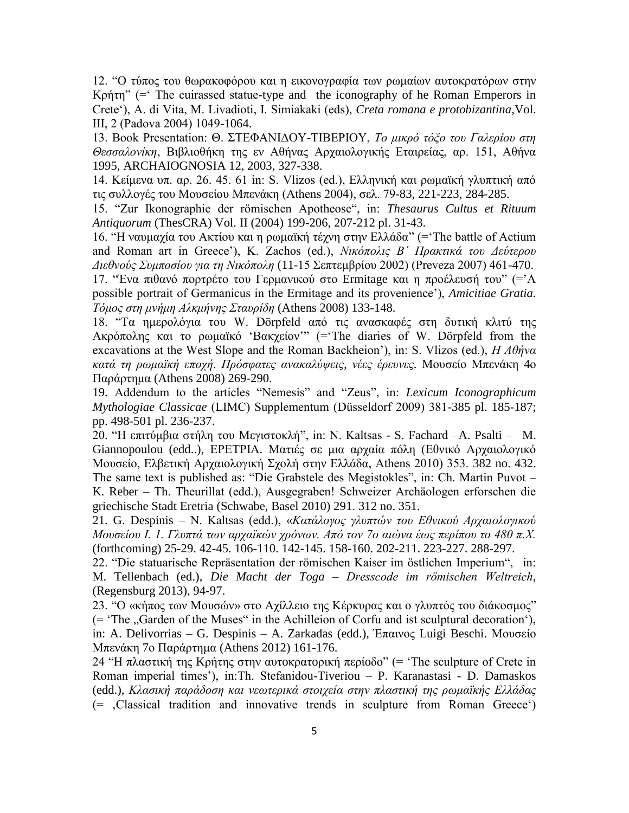12. "O τύπος του θωρακοφόρου και η εικονογραφία των ρωμαίων αυτοκρατόρων στην Kρήτη"  $($ = The cuirassed statue-type and the iconography of he Roman Emperors in Crete'), A. di Vita, M. Livadioti, I. Simiakaki (eds), *Creta romana e protobizantina*,Vol. ΙΙΙ, 2 (Padova 2004) 1049-1064.

13. Book Presentation: Θ. ΣΤΕΦΑΝΙΔΟΥ-ΤΙΒΕΡΙΟΥ, *Το μικρό τόξο του Γαλερίου στη Θεσσαλονίκη*, Βιβλιοθήκη της εν Αθήνας Αρχαιολογικής Εταιρείας, αρ. 151, Αθήνα 1995, ARCHAIOGNOSIA 12, 2003, 327-338.

14. Κείμενα υπ. αρ. 26. 45. 61 in: S. Vlizos (ed.), Ελληνική και ρωμαϊκή γλυπτική από τις συλλογές του Μουσείου Μπενάκη (Athens 2004), σελ. 79-83, 221-223, 284-285.

15. "Zur Ikonographie der römischen Apotheose", in: *Thesaurus Cultus et Rituum Antiquorum* (ThesCRA) Vol. II (2004) 199-206, 207-212 pl. 31-43.

16. "Η ναυμαχία του Ακτίου και η ρωμαϊκή τέχνη στην Ελλάδα" (='The battle of Actium and Roman art in Greece'), K. Zachos (ed.), *Νικόπολις Β΄ Πρακτικά του Δεύτερου Διεθνούς Συμποσίου για τη Νικόπολη* (11-15 Σεπτεμβρίου 2002) (Preveza 2007) 461-470.

17. "Ένα πιθανό πορτρέτο του Γερμανικού στο Ermitage και η προέλευσή του" (='A possible portrait of Germanicus in the Ermitage and its provenience'), *Amicitiae Gratia. Τόμος στη μνήμη Αλκμήνης Σταυρίδη* (Athens 2008) 133-148.

18. "Τα ημερολόγια του W. Dörpfeld από τις ανασκαφές στη δυτική κλιτύ της Ακρόπολης και το ρωμαϊκό 'Βακχείον'" (='The diaries of W. Dörpfeld from the excavations at the West Slope and the Roman Backheion'), in: S. Vlizos (ed.), *Η Αθήνα κατά τη ρωμαϊκή εποχή. Πρόσφατες ανακαλύψεις, νέες έρευνες.* Μουσείο Μπενάκη 4ο Παράρτημα (Athens 2008) 269-290.

19. Addendum to the articles "Nemesis" and "Zeus", in: *Lexicum Iconographicum Mythologiae Classicae* (LIMC) Supplementum (Düsseldorf 2009) 381-385 pl. 185-187; pp. 498-501 pl. 236-237.

20. "Η επιτύμβια στήλη του Μεγιστοκλή", in: N. Kaltsas - S. Fachard –A. Psalti – M. Giannopoulou (edd..), ΕΡΕΤΡΙΑ. Ματιές σε μια αρχαία πόλη (Εθνικό Αρχαιολογικό Μουσείο, Ελβετική Αρχαιολογική Σχολή στην Ελλάδα, Athens 2010) 353. 382 no. 432. The same text is published as: "Die Grabstele des Megistokles", in: Ch. Martin Puvot – K. Reber – Th. Theurillat (edd.), Ausgegraben! Schweizer Archäologen erforschen die griechische Stadt Eretria (Schwabe, Basel 2010) 291. 312 no. 351.

21. G. Despinis – N. Kaltsas (edd.), «*Κατάλογος γλυπτών του Εθνικού Αρχαιολογικού Μουσείου Ι. 1. Γλυπτά των αρχαϊκών χρόνων. Από τον 7ο αιώνα έως περίπου το 480 π.Χ.*  (forthcoming) 25-29. 42-45. 106-110. 142-145. 158-160. 202-211. 223-227. 288-297.

22. "Die statuarische Repräsentation der römischen Kaiser im östlichen Imperium", in: M. Tellenbach (ed.), *Die Macht der Toga – Dresscode im römischen Weltreich*, (Regensburg 2013), 94-97.

23. "Ο «κήπος των Μουσών» στο Αχίλλειο της Κέρκυρας και ο γλυπτός του διάκοσμος"  $($ = 'The  $,$ Garden of the Muses" in the Achilleion of Corfu and ist sculptural decoration'), in: A. Delivorrias – G. Despinis – A. Zarkadas (edd.), Έπαινος Luigi Beschi. Μουσείο Μπενάκη 7ο Παράρτημα (Athens 2012) 161-176.

24 "Η πλαστική της Kρήτης στην αυτoκρατoρική περίoδo" (= 'The sculpture of Crete in Roman imperial times'), in:Th. Stefanidou-Tiveriou – P. Karanastasi - D. Damaskos (edd.), *Κλασική παράδοση και νεωτερικά στοιχεία στην πλαστική της ρωμαϊκής Ελλάδας*  $(=$ , Classical tradition and innovative trends in sculpture from Roman Greece')